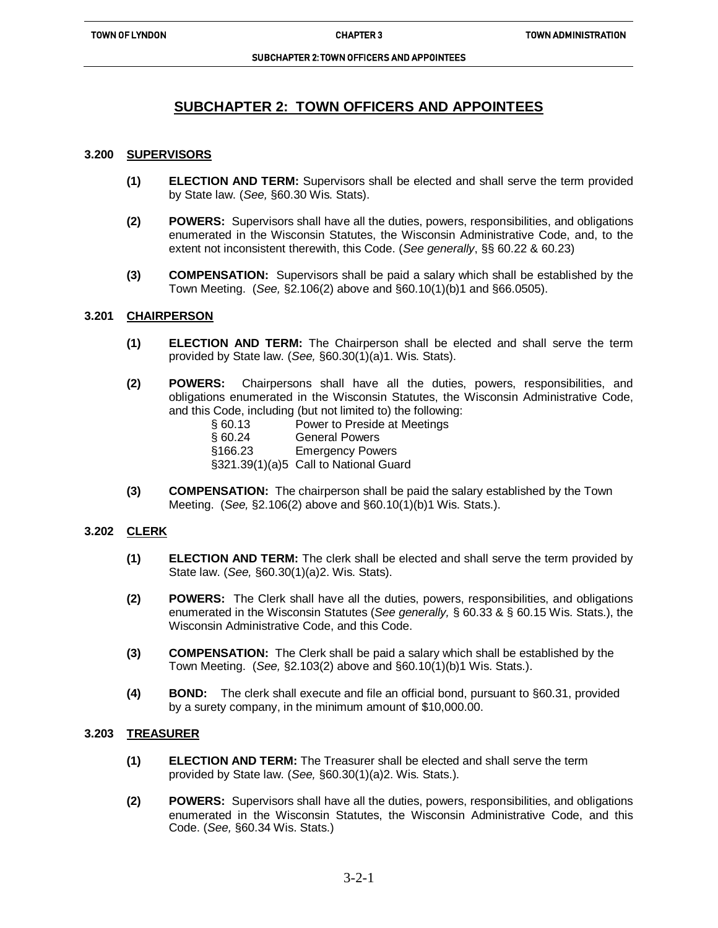ֺ֝

#### SUBCHAPTER 2: TOWN OFFICERS AND APPOINTEES

# **SUBCHAPTER 2: TOWN OFFICERS AND APPOINTEES**

## **3.200 SUPERVISORS**

- **(1) ELECTION AND TERM:** Supervisors shall be elected and shall serve the term provided by State law. (*See,* §60.30 Wis. Stats).
- **(2) POWERS:** Supervisors shall have all the duties, powers, responsibilities, and obligations enumerated in the Wisconsin Statutes, the Wisconsin Administrative Code, and, to the extent not inconsistent therewith, this Code. (*See generally*, §§ 60.22 & 60.23)
- **(3) COMPENSATION:** Supervisors shall be paid a salary which shall be established by the Town Meeting. (*See,* §2.106(2) above and §60.10(1)(b)1 and §66.0505).

## **3.201 CHAIRPERSON**

- **(1) ELECTION AND TERM:** The Chairperson shall be elected and shall serve the term provided by State law. (*See,* §60.30(1)(a)1. Wis. Stats).
- **(2) POWERS:** Chairpersons shall have all the duties, powers, responsibilities, and obligations enumerated in the Wisconsin Statutes, the Wisconsin Administrative Code, and this Code, including (but not limited to) the following:
	- § 60.13 Power to Preside at Meetings
	- § 60.24 General Powers
	- §166.23 Emergency Powers
	- §321.39(1)(a)5 Call to National Guard
- **(3) COMPENSATION:** The chairperson shall be paid the salary established by the Town Meeting. (*See,* §2.106(2) above and §60.10(1)(b)1 Wis. Stats.).

## **3.202 CLERK**

- **(1) ELECTION AND TERM:** The clerk shall be elected and shall serve the term provided by State law. (*See,* §60.30(1)(a)2. Wis. Stats).
- **(2) POWERS:** The Clerk shall have all the duties, powers, responsibilities, and obligations enumerated in the Wisconsin Statutes (*See generally,* § 60.33 & § 60.15 Wis. Stats.), the Wisconsin Administrative Code, and this Code.
- **(3) COMPENSATION:** The Clerk shall be paid a salary which shall be established by the Town Meeting. (*See,* §2.103(2) above and §60.10(1)(b)1 Wis. Stats.).
- **(4) BOND:** The clerk shall execute and file an official bond, pursuant to §60.31, provided by a surety company, in the minimum amount of \$10,000.00.

## **3.203 TREASURER**

- **(1) ELECTION AND TERM:** The Treasurer shall be elected and shall serve the term provided by State law. (*See,* §60.30(1)(a)2. Wis. Stats.).
- **(2) POWERS:** Supervisors shall have all the duties, powers, responsibilities, and obligations enumerated in the Wisconsin Statutes, the Wisconsin Administrative Code, and this Code. (*See,* §60.34 Wis. Stats.)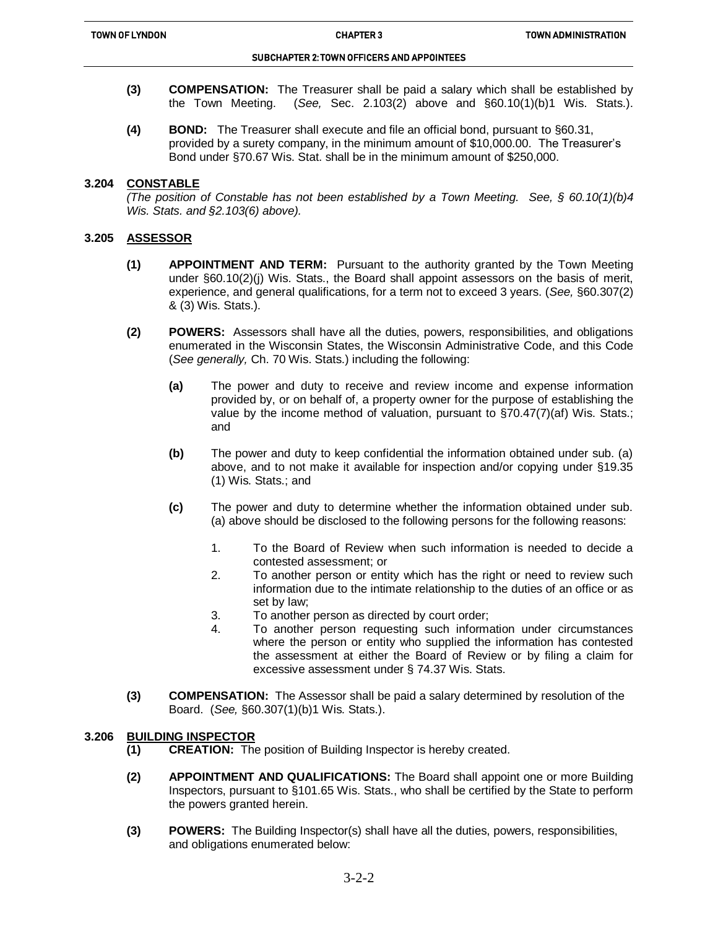ֺ֝

## SUBCHAPTER 2: TOWN OFFICERS AND APPOINTEES

- **(3) COMPENSATION:** The Treasurer shall be paid a salary which shall be established by the Town Meeting. (*See,* Sec. 2.103(2) above and §60.10(1)(b)1 Wis. Stats.).
- **(4) BOND:** The Treasurer shall execute and file an official bond, pursuant to §60.31, provided by a surety company, in the minimum amount of \$10,000.00. The Treasurer's Bond under §70.67 Wis. Stat. shall be in the minimum amount of \$250,000.

## **3.204 CONSTABLE**

*(The position of Constable has not been established by a Town Meeting. See, § 60.10(1)(b)4 Wis. Stats. and §2.103(6) above).*

## **3.205 ASSESSOR**

- **(1) APPOINTMENT AND TERM:** Pursuant to the authority granted by the Town Meeting under §60.10(2)(j) Wis. Stats., the Board shall appoint assessors on the basis of merit, experience, and general qualifications, for a term not to exceed 3 years. (*See,* §60.307(2) & (3) Wis. Stats.).
- **(2) POWERS:** Assessors shall have all the duties, powers, responsibilities, and obligations enumerated in the Wisconsin States, the Wisconsin Administrative Code, and this Code (*See generally,* Ch. 70 Wis. Stats.) including the following:
	- **(a)** The power and duty to receive and review income and expense information provided by, or on behalf of, a property owner for the purpose of establishing the value by the income method of valuation, pursuant to §70.47(7)(af) Wis. Stats.; and
	- **(b)** The power and duty to keep confidential the information obtained under sub. (a) above, and to not make it available for inspection and/or copying under §19.35 (1) Wis. Stats.; and
	- **(c)** The power and duty to determine whether the information obtained under sub. (a) above should be disclosed to the following persons for the following reasons:
		- 1. To the Board of Review when such information is needed to decide a contested assessment; or
		- 2. To another person or entity which has the right or need to review such information due to the intimate relationship to the duties of an office or as set by law;
		- 3. To another person as directed by court order;
		- 4. To another person requesting such information under circumstances where the person or entity who supplied the information has contested the assessment at either the Board of Review or by filing a claim for excessive assessment under § 74.37 Wis. Stats.
- **(3) COMPENSATION:** The Assessor shall be paid a salary determined by resolution of the Board. (*See,* §60.307(1)(b)1 Wis. Stats.).

## **3.206 BUILDING INSPECTOR**

- **(1) CREATION:** The position of Building Inspector is hereby created.
- **(2) APPOINTMENT AND QUALIFICATIONS:** The Board shall appoint one or more Building Inspectors, pursuant to §101.65 Wis. Stats., who shall be certified by the State to perform the powers granted herein.
- **(3) POWERS:** The Building Inspector(s) shall have all the duties, powers, responsibilities, and obligations enumerated below: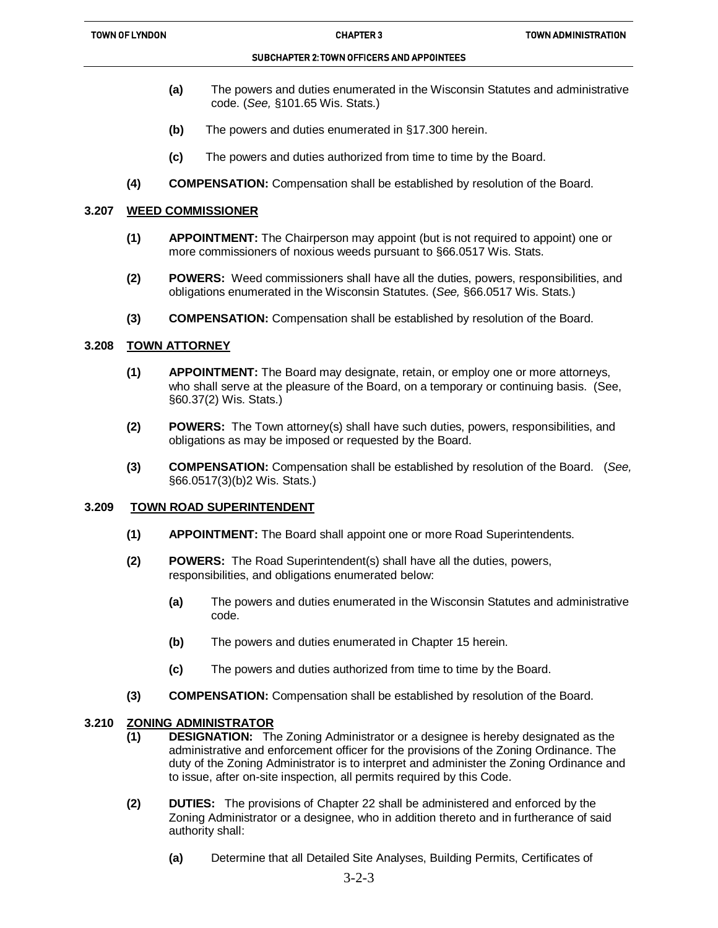#### SUBCHAPTER 2: TOWN OFFICERS AND APPOINTEES

- **(a)** The powers and duties enumerated in the Wisconsin Statutes and administrative code. (*See,* §101.65 Wis. Stats.)
- **(b)** The powers and duties enumerated in §17.300 herein.
- **(c)** The powers and duties authorized from time to time by the Board.
- **(4) COMPENSATION:** Compensation shall be established by resolution of the Board.

## **3.207 WEED COMMISSIONER**

ֺ֝

- **(1) APPOINTMENT:** The Chairperson may appoint (but is not required to appoint) one or more commissioners of noxious weeds pursuant to §66.0517 Wis. Stats.
- **(2) POWERS:** Weed commissioners shall have all the duties, powers, responsibilities, and obligations enumerated in the Wisconsin Statutes. (*See,* §66.0517 Wis. Stats.)
- **(3) COMPENSATION:** Compensation shall be established by resolution of the Board.

## **3.208 TOWN ATTORNEY**

- **(1) APPOINTMENT:** The Board may designate, retain, or employ one or more attorneys, who shall serve at the pleasure of the Board, on a temporary or continuing basis. (See, §60.37(2) Wis. Stats.)
- **(2) POWERS:** The Town attorney(s) shall have such duties, powers, responsibilities, and obligations as may be imposed or requested by the Board.
- **(3) COMPENSATION:** Compensation shall be established by resolution of the Board. (*See,*  §66.0517(3)(b)2 Wis. Stats.)

## **3.209 TOWN ROAD SUPERINTENDENT**

- **(1) APPOINTMENT:** The Board shall appoint one or more Road Superintendents.
- **(2) POWERS:** The Road Superintendent(s) shall have all the duties, powers, responsibilities, and obligations enumerated below:
	- **(a)** The powers and duties enumerated in the Wisconsin Statutes and administrative code.
	- **(b)** The powers and duties enumerated in Chapter 15 herein.
	- **(c)** The powers and duties authorized from time to time by the Board.
- **(3) COMPENSATION:** Compensation shall be established by resolution of the Board.

# **3.210 ZONING ADMINISTRATOR**

- **(1) DESIGNATION:** The Zoning Administrator or a designee is hereby designated as the administrative and enforcement officer for the provisions of the Zoning Ordinance. The duty of the Zoning Administrator is to interpret and administer the Zoning Ordinance and to issue, after on-site inspection, all permits required by this Code.
- **(2) DUTIES:** The provisions of Chapter 22 shall be administered and enforced by the Zoning Administrator or a designee, who in addition thereto and in furtherance of said authority shall:
	- **(a)** Determine that all Detailed Site Analyses, Building Permits, Certificates of